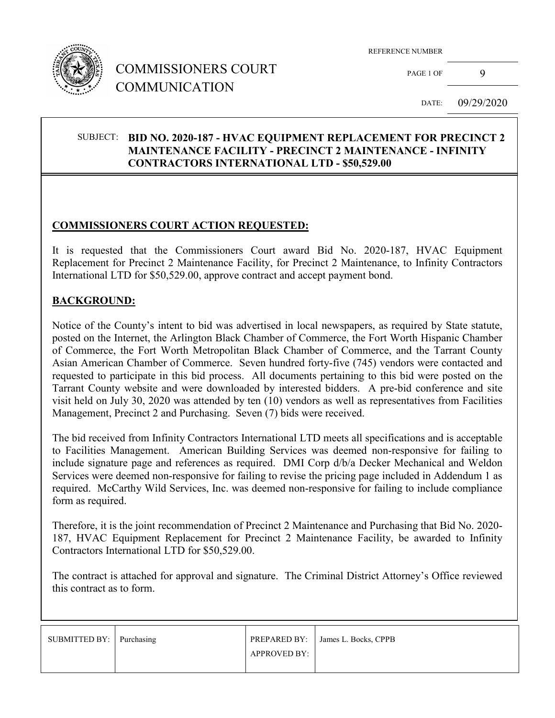

# COMMISSIONERS COURT COMMUNICATION

REFERENCE NUMBER

PAGE 1 OF 9

DATE: 09/29/2020

#### SUBJECT: **BID NO. 2020-187 - HVAC EQUIPMENT REPLACEMENT FOR PRECINCT 2 MAINTENANCE FACILITY - PRECINCT 2 MAINTENANCE - INFINITY CONTRACTORS INTERNATIONAL LTD - \$50,529.00**

## **COMMISSIONERS COURT ACTION REQUESTED:**

It is requested that the Commissioners Court award Bid No. 2020-187, HVAC Equipment Replacement for Precinct 2 Maintenance Facility, for Precinct 2 Maintenance, to Infinity Contractors International LTD for \$50,529.00, approve contract and accept payment bond.

#### **BACKGROUND:**

Notice of the County's intent to bid was advertised in local newspapers, as required by State statute, posted on the Internet, the Arlington Black Chamber of Commerce, the Fort Worth Hispanic Chamber of Commerce, the Fort Worth Metropolitan Black Chamber of Commerce, and the Tarrant County Asian American Chamber of Commerce. Seven hundred forty-five (745) vendors were contacted and requested to participate in this bid process. All documents pertaining to this bid were posted on the Tarrant County website and were downloaded by interested bidders. A pre-bid conference and site visit held on July 30, 2020 was attended by ten (10) vendors as well as representatives from Facilities Management, Precinct 2 and Purchasing. Seven (7) bids were received.

The bid received from Infinity Contractors International LTD meets all specifications and is acceptable to Facilities Management. American Building Services was deemed non-responsive for failing to include signature page and references as required. DMI Corp d/b/a Decker Mechanical and Weldon Services were deemed non-responsive for failing to revise the pricing page included in Addendum 1 as required. McCarthy Wild Services, Inc. was deemed non-responsive for failing to include compliance form as required.

Therefore, it is the joint recommendation of Precinct 2 Maintenance and Purchasing that Bid No. 2020- 187, HVAC Equipment Replacement for Precinct 2 Maintenance Facility, be awarded to Infinity Contractors International LTD for \$50,529.00.

The contract is attached for approval and signature. The Criminal District Attorney's Office reviewed this contract as to form.

| SUBMITTED BY: Purchasing |                     | PREPARED BY: James L. Bocks, CPPB |
|--------------------------|---------------------|-----------------------------------|
|                          | <b>APPROVED BY:</b> |                                   |